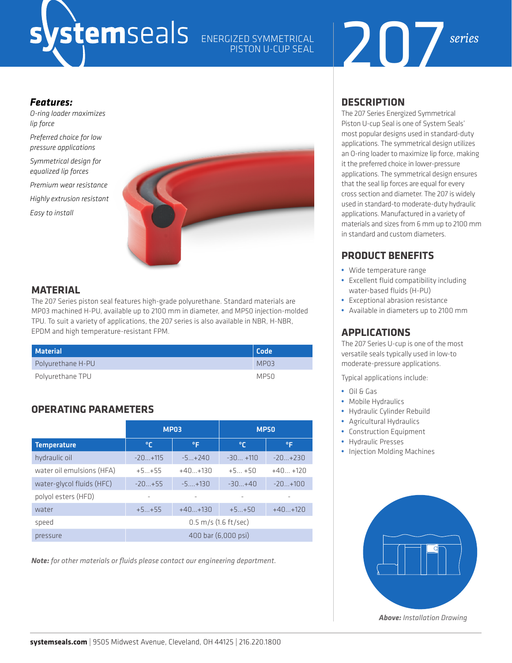# ENERGIZED SYMMETRICAL

## PISTON U-CUP SEAL



#### *Features:*

*O-ring loader maximizes lip force*

*Preferred choice for low pressure applications*

*Symmetrical design for equalized lip forces* 

*Premium wear resistance Highly extrusion resistant*

*Easy to install* 



#### **MATERIAL**

The 207 Series piston seal features high-grade polyurethane. Standard materials are MP03 machined H-PU, available up to 2100 mm in diameter, and MP50 injection-molded TPU. To suit a variety of applications, the 207 series is also available in NBR, H-NBR, EPDM and high temperature-resistant FPM.

| Material          | Code |
|-------------------|------|
| Polyurethane H-PU | MP03 |
| Polyurethane TPU  | MP50 |

#### **OPERATING PARAMETERS**

|                           | <b>MP03</b>                      |           | <b>MP50</b> |           |  |
|---------------------------|----------------------------------|-----------|-------------|-----------|--|
| <b>Temperature</b>        | °C                               | ۰F        | °€          | °F        |  |
| hydraulic oil             | $-20+115$                        | $-5+240$  | $-30+110$   | $-20+230$ |  |
| water oil emulsions (HFA) | $+5+55$                          | $+40+130$ | $+5+50$     | $+40+120$ |  |
| water-glycol fluids (HFC) | $-20+55$                         | $-5+130$  | $-30+40$    | $-20+100$ |  |
| polyol esters (HFD)       | ٠                                |           |             |           |  |
| water                     | $+5+55$                          | $+40+130$ | $+5+50$     | $+40+120$ |  |
| speed                     | $0.5 \, \text{m/s}$ (1.6 ft/sec) |           |             |           |  |
| pressure                  | 400 bar (6,000 psi)              |           |             |           |  |

*Note: for other materials or fluids please contact our engineering department.*

#### **DESCRIPTION**

The 207 Series Energized Symmetrical Piston U-cup Seal is one of System Seals' most popular designs used in standard-duty applications. The symmetrical design utilizes an O-ring loader to maximize lip force, making it the preferred choice in lower-pressure applications. The symmetrical design ensures that the seal lip forces are equal for every cross section and diameter. The 207 is widely used in standard-to moderate-duty hydraulic applications. Manufactured in a variety of materials and sizes from 6 mm up to 2100 mm in standard and custom diameters.

#### **PRODUCT BENEFITS**

- **•** Wide temperature range
- **•** Excellent fluid compatibility including water-based fluids (H-PU)
- **•** Exceptional abrasion resistance
- **•** Available in diameters up to 2100 mm

#### **APPLICATIONS**

The 207 Series U-cup is one of the most versatile seals typically used in low-to moderate-pressure applications.

Typical applications include:

- **•** Oil & Gas
- **•** Mobile Hydraulics
- **•** Hydraulic Cylinder Rebuild
- **•** Agricultural Hydraulics
- **•** Construction Equipment
- **•** Hydraulic Presses
- **•** Injection Molding Machines



*Above: Installation Drawing*